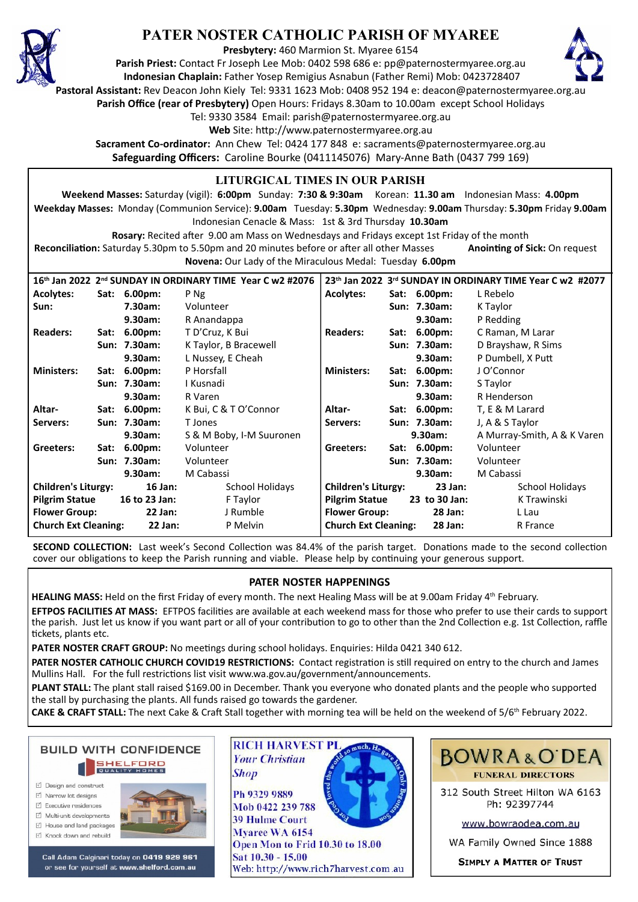

## **PATER NOSTER CATHOLIC PARISH OF MYAREE**

**Presbytery:** 460 Marmion St. Myaree 6154

**Parish Priest:** Contact Fr Joseph Lee Mob: 0402 598 686 e: pp@paternostermyaree.org.au **Indonesian Chaplain:** Father Yosep Remigius Asnabun (Father Remi) Mob: 0423728407



**Pastoral Assistant:** Rev Deacon John Kiely Tel: 9331 1623 Mob: 0408 952 194 e: deacon@paternostermyaree.org.au

**Parish Office (rear of Presbytery)** Open Hours: Fridays 8.30am to 10.00am except School Holidays

Tel: 9330 3584 Email: parish@paternostermyaree.org.au

Web Site: http://www.paternostermyaree.org.au

**Sacrament Co-ordinator:** Ann Chew Tel: 0424 177 848 e: sacraments@paternostermyaree.org.au **Safeguarding Officers:** Caroline Bourke (0411145076) Mary-Anne Bath (0437 799 169)

## **LITURGICAL TIMES IN OUR PARISH**

**Weekend Masses:** Saturday (vigil): **6:00pm** Sunday: **7:30 & 9:30am** Korean: **11.30 am** Indonesian Mass: **4.00pm Weekday Masses:** Monday (Communion Service): **9.00am** Tuesday: **5.30pm** Wednesday: **9.00am** Thursday: **5.30pm** Friday **9.00am** Indonesian Cenacle & Mass: 1st & 3rd Thursday **10.30am**

**Rosary:** Recited a�er 9.00 am Mass on Wednesdays and Fridays except 1st Friday of the month Reconciliation: Saturday 5.30pm to 5.50pm and 20 minutes before or after all other Masses **Anointing of Sick:** On request **Novena:** Our Lady of the Miraculous Medal: Tuesday **6.00pm**

| 16th Jan 2022 2nd SUNDAY IN ORDINARY TIME Year C w2 #2076 |  |              |                          |                             |  |                | 23th Jan 2022 3rd SUNDAY IN ORDINARY TIME Year C w2 #2077 |
|-----------------------------------------------------------|--|--------------|--------------------------|-----------------------------|--|----------------|-----------------------------------------------------------|
| <b>Acolytes:</b>                                          |  | Sat: 6.00pm: | P Ng                     | <b>Acolytes:</b>            |  | Sat: 6.00pm:   | L Rebelo                                                  |
| Sun:                                                      |  | 7.30am:      | Volunteer                |                             |  | Sun: 7.30am:   | K Taylor                                                  |
|                                                           |  | 9.30am:      | R Anandappa              |                             |  | 9.30am:        | P Redding                                                 |
| <b>Readers:</b>                                           |  | Sat: 6.00pm: | T D'Cruz, K Bui          | <b>Readers:</b>             |  | Sat: 6.00pm:   | C Raman, M Larar                                          |
|                                                           |  | Sun: 7.30am: | K Taylor, B Bracewell    |                             |  | Sun: 7.30am:   | D Brayshaw, R Sims                                        |
|                                                           |  | 9.30am:      | L Nussey, E Cheah        |                             |  | 9.30am:        | P Dumbell, X Putt                                         |
| <b>Ministers:</b>                                         |  | Sat: 6.00pm: | P Horsfall               | <b>Ministers:</b>           |  | Sat: 6.00pm:   | J O'Connor                                                |
|                                                           |  | Sun: 7.30am: | I Kusnadi                |                             |  | Sun: 7.30am:   | S Taylor                                                  |
|                                                           |  | 9.30am:      | R Varen                  |                             |  | 9.30am:        | R Henderson                                               |
| Altar-                                                    |  | Sat: 6.00pm: | K Bui, C & T O'Connor    | Altar-                      |  | Sat: 6.00pm:   | T, E & M Larard                                           |
| Servers:                                                  |  | Sun: 7.30am: | T Jones                  | Servers:                    |  | Sun: 7.30am:   | J, A & S Taylor                                           |
|                                                           |  | 9.30am:      | S & M Boby, I-M Suuronen |                             |  | 9.30am:        | A Murray-Smith, A & K Varen                               |
| Greeters:                                                 |  | Sat: 6.00pm: | Volunteer                | Greeters:                   |  | Sat: 6.00pm:   | Volunteer                                                 |
|                                                           |  | Sun: 7.30am: | Volunteer                |                             |  | Sun: 7.30am:   | Volunteer                                                 |
|                                                           |  | 9.30am:      | M Cabassi                |                             |  | 9.30am:        | M Cabassi                                                 |
| <b>Children's Liturgy:</b>                                |  | $16$ Jan:    | School Holidays          | <b>Children's Liturgy:</b>  |  | $23$ Jan:      | School Holidays                                           |
| <b>Pilgrim Statue</b><br>16 to 23 Jan:                    |  |              | F Taylor                 | <b>Pilgrim Statue</b>       |  | 23 to 30 Jan:  | K Trawinski                                               |
| <b>Flower Group:</b>                                      |  | 22 Jan:      | J Rumble                 | <b>Flower Group:</b>        |  | 28 Jan:        | L Lau                                                     |
| <b>Church Ext Cleaning:</b><br>22 Jan:                    |  |              | P Melvin                 | <b>Church Ext Cleaning:</b> |  | <b>28 Jan:</b> | R France                                                  |

**SECOND COLLECTION:** Last week's Second Collection was 84.4% of the parish target. Donations made to the second collection cover our obligations to keep the Parish running and viable. Please help by continuing your generous support.

## **PATER NOSTER HAPPENINGS**

**HEALING MASS:** Held on the first Friday of every month. The next Healing Mass will be at 9.00am Friday 4th February.

**EFTPOS FACILITIES AT MASS:** EFTPOS facili�es are available at each weekend mass for those who prefer to use their cards to support the parish. Just let us know if you want part or all of your contribution to go to other than the 2nd Collection e.g. 1st Collection, raffle tickets, plants etc.

PATER NOSTER CRAFT GROUP: No meetings during school holidays. Enquiries: Hilda 0421 340 612.

PATER NOSTER CATHOLIC CHURCH COVID19 RESTRICTIONS: Contact registration is still required on entry to the church and James Mullins Hall. For the full restrictions list visit www.wa.gov.au/government/announcements.

**PLANT STALL:** The plant stall raised \$169.00 in December. Thank you everyone who donated plants and the people who supported the stall by purchasing the plants. All funds raised go towards the gardener.

**CAKE & CRAFT STALL:** The next Cake & Craft Stall together with morning tea will be held on the weekend of 5/6<sup>th</sup> February 2022.



- □ Design and construct
- M Narrow Int designe
- $\triangledown$  Executive residences
- Multi-unit developments
- M House and land packages ☑ Knock down and rebuild



Call Adam Calginari today on 0419 929 961 or see for yourself at www.shelford.com.au



Ph 9329 9889 Mob 0422 239 788 **39 Hulme Court** Myaree WA 6154 Open Mon to Frid 10.30 to 18.00 Sat 10.30 - 15.00 Web: http://www.rich7harvest.com.au



312 South Street Hilton WA 6163 Ph: 92397744

www.bowraodea.com.au

WA Family Owned Since 1888

**SIMPLY A MATTER OF TRUST**